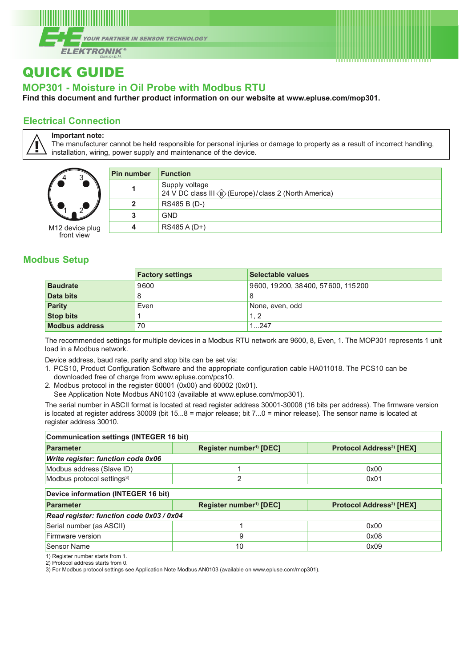

# QUICK GUIDE

## **MOP301 - Moisture in Oil Probe with Modbus RTU**

**Find this document and further product information on our website at [www.epluse.com/](https://www.epluse.com/mop301)mop301.**

### **Electrical Connection**

**Important note:**

The manufacturer cannot be held responsible for personal injuries or damage to property as a result of incorrect handling, installation, wiring, power supply and maintenance of the device.

| 4               |
|-----------------|
| M12 device plug |

front view

| Pin number   | <b>Function</b>                                                           |
|--------------|---------------------------------------------------------------------------|
| 1            | Supply voltage<br>24 V DC class III ( C Curope) / class 2 (North America) |
| $\mathbf{2}$ | RS485 B (D-)                                                              |
| 3            | <b>GND</b>                                                                |
| 4            | RS485 A (D+)                                                              |
|              |                                                                           |

### **Modbus Setup**

|                       | <b>Factory settings</b> | Selectable values                 |
|-----------------------|-------------------------|-----------------------------------|
| <b>Baudrate</b>       | 9600                    | 9600, 19200, 38400, 57600, 115200 |
| Data bits             | 8                       | $\circ$                           |
| <b>Parity</b>         | Even                    | None, even, odd                   |
| <b>Stop bits</b>      |                         | 1.2                               |
| <b>Modbus address</b> | 70                      | 1247                              |

The recommended settings for multiple devices in a Modbus RTU network are 9600, 8, Even, 1. The MOP301 represents 1 unit load in a Modbus network.

Device address, baud rate, parity and stop bits can be set via:

- 1. PCS10, Product Configuration Software and the appropriate configuration cable HA011018. The PCS10 can be
- downloaded free of charge from [www.epluse.com/pcs10.](https://www.epluse.com/pcs10)
- 2. Modbus protocol in the register 60001 (0x00) and 60002 (0x01).
- See Application Note Modbus AN0103 (available at [www.epluse.com/m](https://www.epluse.com/mop301)op301).

The serial number in ASCII format is located at read register address 30001-30008 (16 bits per address). The firmware version is located at register address 30009 (bit 15...8 = major release; bit 7...0 = minor release). The sensor name is located at register address 30010.

| <b>Communication settings (INTEGER 16 bit)</b> |                                     |                                           |  |  |  |  |  |
|------------------------------------------------|-------------------------------------|-------------------------------------------|--|--|--|--|--|
| Parameter                                      | Register number <sup>1)</sup> [DEC] | Protocol Address <sup>2</sup> [HEX]       |  |  |  |  |  |
| <b>Write register: function code 0x06</b>      |                                     |                                           |  |  |  |  |  |
| Modbus address (Slave ID)                      |                                     | 0x00                                      |  |  |  |  |  |
| Modbus protocol settings <sup>3)</sup>         | $\overline{2}$                      | 0x01                                      |  |  |  |  |  |
| Device information (INTEGER 16 bit)            |                                     |                                           |  |  |  |  |  |
| <b>Parameter</b>                               | Register number <sup>1)</sup> [DEC] | <b>Protocol Address<sup>2</sup></b> [HEX] |  |  |  |  |  |
| Read register: function code 0x03 / 0x04       |                                     |                                           |  |  |  |  |  |
| Serial number (as ASCII)                       |                                     | 0x00                                      |  |  |  |  |  |
| Firmware version                               | 9                                   | 0x08                                      |  |  |  |  |  |
| <b>Sensor Name</b>                             | 10                                  | 0x09                                      |  |  |  |  |  |

1) Register number starts from 1.

2) Protocol address starts from 0.

3) For Modbus protocol settings see Application Note Modbus AN0103 (available on [www.epluse.com/m](https://www.epluse.com/mop301)op301).